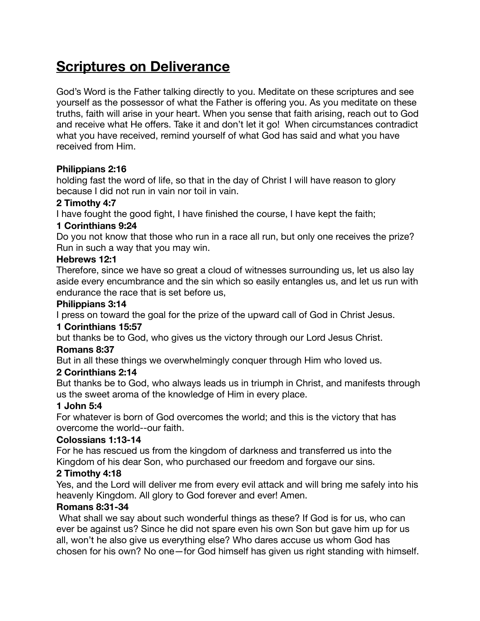# **Scriptures on Deliverance**

God's Word is the Father talking directly to you. Meditate on these scriptures and see yourself as the possessor of what the Father is offering you. As you meditate on these truths, faith will arise in your heart. When you sense that faith arising, reach out to God and receive what He offers. Take it and don't let it go! When circumstances contradict what you have received, remind yourself of what God has said and what you have received from Him.

#### **Philippians 2:16**

holding fast the word of life, so that in the day of Christ I will have reason to glory because I did not run in vain nor toil in vain.

## **2 Timothy 4:7**

I have fought the good fight, I have finished the course, I have kept the faith;

# **1 Corinthians 9:24**

Do you not know that those who run in a race all run, but only one receives the prize? Run in such a way that you may win.

## **Hebrews 12:1**

Therefore, since we have so great a cloud of witnesses surrounding us, let us also lay aside every encumbrance and the sin which so easily entangles us, and let us run with endurance the race that is set before us,

## **Philippians 3:14**

I press on toward the goal for the prize of the upward call of God in Christ Jesus.

#### **1 Corinthians 15:57**

but thanks be to God, who gives us the victory through our Lord Jesus Christ.

# **Romans 8:37**

But in all these things we overwhelmingly conquer through Him who loved us.

# **2 Corinthians 2:14**

But thanks be to God, who always leads us in triumph in Christ, and manifests through us the sweet aroma of the knowledge of Him in every place.

# **1 John 5:4**

For whatever is born of God overcomes the world; and this is the victory that has overcome the world--our faith.

# **Colossians 1:13-14**

For he has rescued us from the kingdom of darkness and transferred us into the Kingdom of his dear Son, who purchased our freedom and forgave our sins.

# **2 Timothy 4:18**

Yes, and the Lord will deliver me from every evil attack and will bring me safely into his heavenly Kingdom. All glory to God forever and ever! Amen.

#### **Romans 8:31-34**

What shall we say about such wonderful things as these? If God is for us, who can ever be against us? Since he did not spare even his own Son but gave him up for us all, won't he also give us everything else? Who dares accuse us whom God has chosen for his own? No one—for God himself has given us right standing with himself.